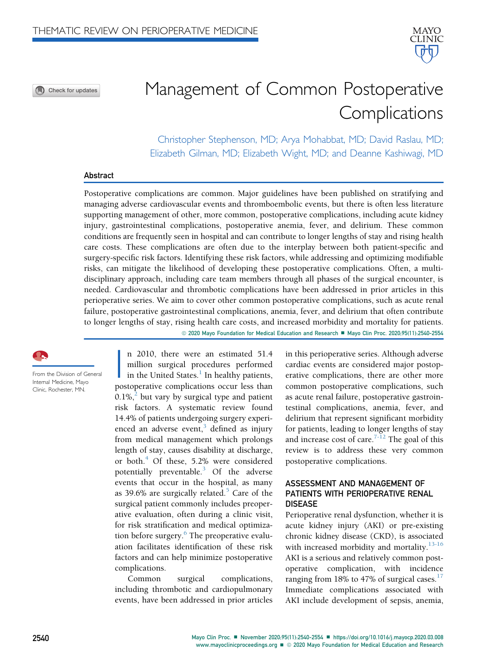Check for updates

# Management of Common Postoperative **Complications**

Christopher Stephenson, MD; Arya Mohabbat, MD; David Raslau, MD; Elizabeth Gilman, MD; Elizabeth Wight, MD; and Deanne Kashiwagi, MD

### Abstract

Postoperative complications are common. Major guidelines have been published on stratifying and managing adverse cardiovascular events and thromboembolic events, but there is often less literature supporting management of other, more common, postoperative complications, including acute kidney injury, gastrointestinal complications, postoperative anemia, fever, and delirium. These common conditions are frequently seen in hospital and can contribute to longer lengths of stay and rising health care costs. These complications are often due to the interplay between both patient-specific and surgery-specific risk factors. Identifying these risk factors, while addressing and optimizing modifiable risks, can mitigate the likelihood of developing these postoperative complications. Often, a multidisciplinary approach, including care team members through all phases of the surgical encounter, is needed. Cardiovascular and thrombotic complications have been addressed in prior articles in this perioperative series. We aim to cover other common postoperative complications, such as acute renal failure, postoperative gastrointestinal complications, anemia, fever, and delirium that often contribute to longer lengths of stay, rising health care costs, and increased morbidity and mortality for patients. © 2020 Mayo Foundation for Medical Education and Research ■ Mayo Clin Proc. 2020;95(11):2540-2554

From the Division of General Internal Medicine, Mayo Clinic, Rochester, MN.

 $\overline{\mathbf{R}}$ n 2010, there were an estimated 51.4 million surgical procedures performed in the United States. $\frac{1}{1}$  $\frac{1}{1}$  $\frac{1}{1}$  In healthy patients, postoperative complications occur less than  $0.1\%$ <sup>[2](#page-11-1)</sup> but vary by surgical type and patient risk factors. A systematic review found 14.4% of patients undergoing surgery experienced an adverse event, $3$  defined as injury from medical management which prolongs length of stay, causes disability at discharge, or both.<sup>[4](#page-11-3)</sup> Of these,  $5.2\%$  were considered potentially preventable. $3$  Of the adverse events that occur in the hospital, as many as 39.6% are surgically related. $5$  Care of the surgical patient commonly includes preoperative evaluation, often during a clinic visit, for risk stratification and medical optimization before surgery. $6$  The preoperative evaluation facilitates identification of these risk factors and can help minimize postoperative complications.

Common surgical complications, including thrombotic and cardiopulmonary events, have been addressed in prior articles

in this perioperative series. Although adverse cardiac events are considered major postoperative complications, there are other more common postoperative complications, such as acute renal failure, postoperative gastrointestinal complications, anemia, fever, and delirium that represent significant morbidity for patients, leading to longer lengths of stay and increase cost of care.<sup>[7-12](#page-11-6)</sup> The goal of this review is to address these very common postoperative complications.

## ASSESSMENT AND MANAGEMENT OF PATIENTS WITH PERIOPERATIVE RENAL DISEASE

Perioperative renal dysfunction, whether it is acute kidney injury (AKI) or pre-existing chronic kidney disease (CKD), is associated with increased morbidity and mortality.<sup>[13-16](#page-11-7)</sup> AKI is a serious and relatively common postoperative complication, with incidence ranging from 18% to 47% of surgical cases. $17$ Immediate complications associated with AKI include development of sepsis, anemia,

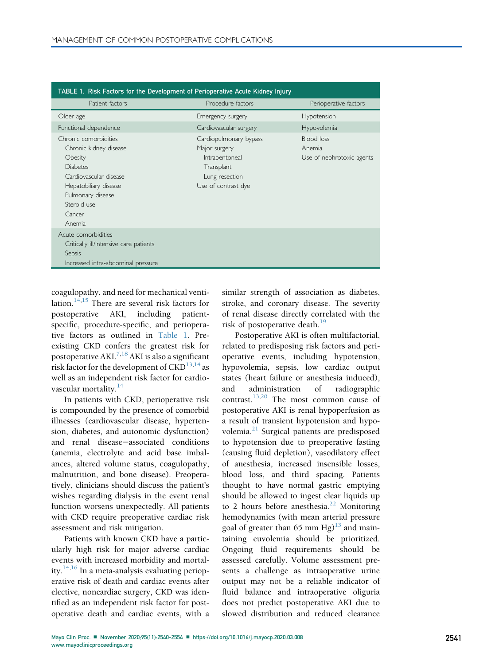<span id="page-1-0"></span>

| TABLE 1. Risk Factors for the Development of Perioperative Acute Kidney Injury                                                                                                           |                                                                                                                   |                                                   |  |
|------------------------------------------------------------------------------------------------------------------------------------------------------------------------------------------|-------------------------------------------------------------------------------------------------------------------|---------------------------------------------------|--|
| Patient factors                                                                                                                                                                          | Procedure factors                                                                                                 | Perioperative factors                             |  |
| Older age                                                                                                                                                                                | Emergency surgery                                                                                                 | Hypotension                                       |  |
| Functional dependence                                                                                                                                                                    | Cardiovascular surgery                                                                                            | Hypovolemia                                       |  |
| Chronic comorbidities<br>Chronic kidney disease<br>Obesity<br><b>Diabetes</b><br>Cardiovascular disease<br>Hepatobiliary disease<br>Pulmonary disease<br>Steroid use<br>Cancer<br>Anemia | Cardiopulmonary bypass<br>Major surgery<br>Intraperitoneal<br>Transplant<br>Lung resection<br>Use of contrast dye | Blood loss<br>Anemia<br>Use of nephrotoxic agents |  |
| Acute comorbidities<br>Critically ill/intensive care patients<br>Sepsis<br>Increased intra-abdominal pressure                                                                            |                                                                                                                   |                                                   |  |

coagulopathy, and need for mechanical venti-lation.<sup>[14](#page-11-9)[,15](#page-11-10)</sup> There are several risk factors for postoperative AKI, including patientspecific, procedure-specific, and perioperative factors as outlined in [Table 1](#page-1-0). Preexisting CKD confers the greatest risk for postoperative AKI.<sup>7[,18](#page-11-11)</sup> AKI is also a significant risk factor for the development of  $CKD<sup>13,14</sup>$  $CKD<sup>13,14</sup>$  $CKD<sup>13,14</sup>$  $CKD<sup>13,14</sup>$  as well as an independent risk factor for cardio-vascular mortality.<sup>[14](#page-11-9)</sup>

In patients with CKD, perioperative risk is compounded by the presence of comorbid illnesses (cardiovascular disease, hypertension, diabetes, and autonomic dysfunction) and renal disease-associated conditions (anemia, electrolyte and acid base imbalances, altered volume status, coagulopathy, malnutrition, and bone disease). Preoperatively, clinicians should discuss the patient's wishes regarding dialysis in the event renal function worsens unexpectedly. All patients with CKD require preoperative cardiac risk assessment and risk mitigation.

Patients with known CKD have a particularly high risk for major adverse cardiac events with increased morbidity and mortal-ity.<sup>[14,](#page-11-9)[16](#page-11-12)</sup> In a meta-analysis evaluating perioperative risk of death and cardiac events after elective, noncardiac surgery, CKD was identified as an independent risk factor for postoperative death and cardiac events, with a

similar strength of association as diabetes, stroke, and coronary disease. The severity of renal disease directly correlated with the risk of postoperative death. $^{19}$  $^{19}$  $^{19}$ 

Postoperative AKI is often multifactorial, related to predisposing risk factors and perioperative events, including hypotension, hypovolemia, sepsis, low cardiac output states (heart failure or anesthesia induced), and administration of radiographic contrast.<sup>13,[20](#page-11-14)</sup> The most common cause of postoperative AKI is renal hypoperfusion as a result of transient hypotension and hypo-volemia.<sup>[21](#page-11-15)</sup> Surgical patients are predisposed to hypotension due to preoperative fasting (causing fluid depletion), vasodilatory effect of anesthesia, increased insensible losses, blood loss, and third spacing. Patients thought to have normal gastric emptying should be allowed to ingest clear liquids up to 2 hours before anesthesia. $^{22}$  $^{22}$  $^{22}$  Monitoring hemodynamics (with mean arterial pressure goal of greater than 65 mm  $Hg$ <sup>[13](#page-11-7)</sup> and maintaining euvolemia should be prioritized. Ongoing fluid requirements should be assessed carefully. Volume assessment presents a challenge as intraoperative urine output may not be a reliable indicator of fluid balance and intraoperative oliguria does not predict postoperative AKI due to slowed distribution and reduced clearance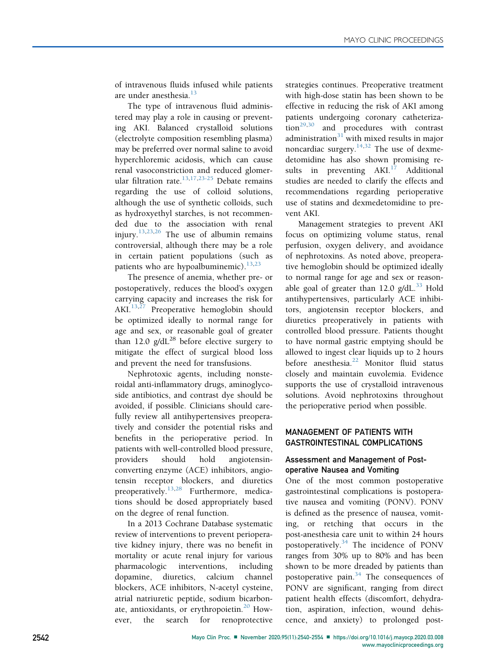of intravenous fluids infused while patients are under anesthesia. $^{13}$  $^{13}$  $^{13}$ 

The type of intravenous fluid administered may play a role in causing or preventing AKI. Balanced crystalloid solutions (electrolyte composition resembling plasma) may be preferred over normal saline to avoid hyperchloremic acidosis, which can cause renal vasoconstriction and reduced glomerular filtration rate. $13,17,23-25$  $13,17,23-25$  $13,17,23-25$  Debate remains regarding the use of colloid solutions, although the use of synthetic colloids, such as hydroxyethyl starches, is not recommended due to the association with renal injury.<sup>[13,](#page-11-7)[23](#page-11-17),[26](#page-11-18)</sup> The use of albumin remains controversial, although there may be a role in certain patient populations (such as patients who are hypoalbuminemic). $13,23$  $13,23$ 

The presence of anemia, whether pre- or postoperatively, reduces the blood's oxygen carrying capacity and increases the risk for AKI. $^{13,27}$  $^{13,27}$  $^{13,27}$  $^{13,27}$  $^{13,27}$  Preoperative hemoglobin should be optimized ideally to normal range for age and sex, or reasonable goal of greater than 12.0  $g/dL^{28}$  before elective surgery to mitigate the effect of surgical blood loss and prevent the need for transfusions.

Nephrotoxic agents, including nonsteroidal anti-inflammatory drugs, aminoglycoside antibiotics, and contrast dye should be avoided, if possible. Clinicians should carefully review all antihypertensives preoperatively and consider the potential risks and benefits in the perioperative period. In patients with well-controlled blood pressure, providers should hold angiotensinconverting enzyme (ACE) inhibitors, angiotensin receptor blockers, and diuretics preoperatively.<sup>[13](#page-11-7)[,28](#page-12-0)</sup> Furthermore, medications should be dosed appropriately based on the degree of renal function.

In a 2013 Cochrane Database systematic review of interventions to prevent perioperative kidney injury, there was no benefit in mortality or acute renal injury for various pharmacologic interventions, including dopamine, diuretics, calcium channel blockers, ACE inhibitors, N-acetyl cysteine, atrial natriuretic peptide, sodium bicarbon-ate, antioxidants, or erythropoietin.<sup>[20](#page-11-14)</sup> However, the search for renoprotective strategies continues. Preoperative treatment with high-dose statin has been shown to be effective in reducing the risk of AKI among patients undergoing coronary catheteriza- $\overline{\text{tion}}^{29,30}$  $\overline{\text{tion}}^{29,30}$  $\overline{\text{tion}}^{29,30}$  $\overline{\text{tion}}^{29,30}$  and procedures with contrast administration $31$  with mixed results in major noncardiac surgery.<sup>[14](#page-11-9)[,32](#page-12-4)</sup> The use of dexmedetomidine has also shown promising results in preventing  $AKI<sub>17</sub>$  $AKI<sub>17</sub>$  $AKI<sub>17</sub>$  Additional studies are needed to clarify the effects and recommendations regarding perioperative use of statins and dexmedetomidine to prevent AKI.

Management strategies to prevent AKI focus on optimizing volume status, renal perfusion, oxygen delivery, and avoidance of nephrotoxins. As noted above, preoperative hemoglobin should be optimized ideally to normal range for age and sex or reasonable goal of greater than 12.0  $g/dL$ .<sup>[33](#page-12-5)</sup> Hold antihypertensives, particularly ACE inhibitors, angiotensin receptor blockers, and diuretics preoperatively in patients with controlled blood pressure. Patients thought to have normal gastric emptying should be allowed to ingest clear liquids up to 2 hours before anesthesia.<sup>[22](#page-11-16)</sup> Monitor fluid status closely and maintain euvolemia. Evidence supports the use of crystalloid intravenous solutions. Avoid nephrotoxins throughout the perioperative period when possible.

## MANAGEMENT OF PATIENTS WITH GASTROINTESTINAL COMPLICATIONS

## Assessment and Management of Postoperative Nausea and Vomiting

One of the most common postoperative gastrointestinal complications is postoperative nausea and vomiting (PONV). PONV is defined as the presence of nausea, vomiting, or retching that occurs in the post-anesthesia care unit to within 24 hours postoperatively.<sup>[34](#page-12-6)</sup> The incidence of PONV ranges from 30% up to 80% and has been shown to be more dreaded by patients than postoperative pain.<sup>[34](#page-12-6)</sup> The consequences of PONV are significant, ranging from direct patient health effects (discomfort, dehydration, aspiration, infection, wound dehiscence, and anxiety) to prolonged post-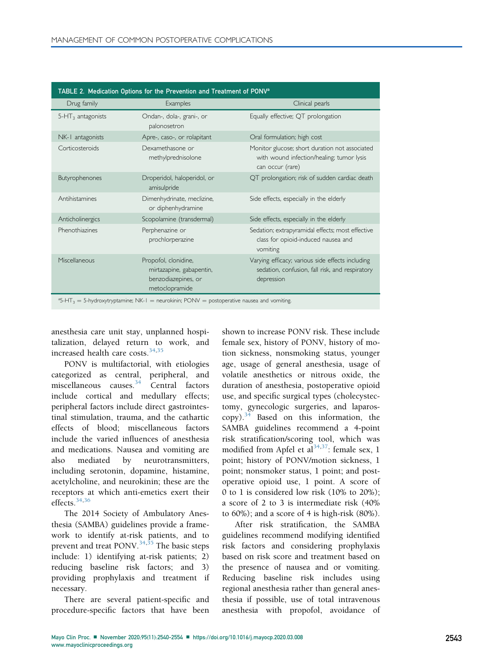<span id="page-3-1"></span>

| TABLE 2. Medication Options for the Prevention and Treatment of PONV <sup>a</sup>                              |                                                                                           |                                                                                                                   |
|----------------------------------------------------------------------------------------------------------------|-------------------------------------------------------------------------------------------|-------------------------------------------------------------------------------------------------------------------|
| Drug family                                                                                                    | Examples                                                                                  | Clinical pearls                                                                                                   |
| $5-HT3$ antagonists                                                                                            | Ondan-, dola-, grani-, or<br>palonosetron                                                 | Equally effective; QT prolongation                                                                                |
| NK-1 antagonists                                                                                               | Apre-, caso-, or rolapitant                                                               | Oral formulation; high cost                                                                                       |
| Corticosteroids                                                                                                | Dexamethasone or<br>methylprednisolone                                                    | Monitor glucose; short duration not associated<br>with wound infection/healing; tumor lysis<br>can occur (rare)   |
| Butyrophenones                                                                                                 | Droperidol, haloperidol, or<br>amisulpride                                                | QT prolongation; risk of sudden cardiac death                                                                     |
| Antihistamines                                                                                                 | Dimenhydrinate, meclizine,<br>or diphenhydramine                                          | Side effects, especially in the elderly                                                                           |
| Anticholinergics                                                                                               | Scopolamine (transdermal)                                                                 | Side effects, especially in the elderly                                                                           |
| Phenothiazines                                                                                                 | Perphenazine or<br>prochlorperazine                                                       | Sedation; extrapyramidal effects; most effective<br>class for opioid-induced nausea and<br>vomiting               |
| Miscellaneous                                                                                                  | Propofol, clonidine,<br>mirtazapine, gabapentin,<br>benzodiazepines, or<br>metoclopramide | Varying efficacy; various side effects including<br>sedation, confusion, fall risk, and respiratory<br>depression |
| ${}^{4}5$ -HT <sub>3</sub> = 5-hydroxytryptamine; NK-1 = neurokinin; PONV = postoperative nausea and vomiting. |                                                                                           |                                                                                                                   |

<span id="page-3-0"></span>anesthesia care unit stay, unplanned hospitalization, delayed return to work, and increased health care costs.[34,](#page-12-6)[35](#page-12-7)

PONV is multifactorial, with etiologies categorized as central, peripheral, and miscellaneous causes.<sup>[34](#page-12-6)</sup> Central factors include cortical and medullary effects; peripheral factors include direct gastrointestinal stimulation, trauma, and the cathartic effects of blood; miscellaneous factors include the varied influences of anesthesia and medications. Nausea and vomiting are also mediated by neurotransmitters, including serotonin, dopamine, histamine, acetylcholine, and neurokinin; these are the receptors at which anti-emetics exert their effects. $34,36$  $34,36$ 

The 2014 Society of Ambulatory Anesthesia (SAMBA) guidelines provide a framework to identify at-risk patients, and to prevent and treat PONV.<sup>[34](#page-12-6)[,35](#page-12-7)</sup> The basic steps include: 1) identifying at-risk patients; 2) reducing baseline risk factors; and 3) providing prophylaxis and treatment if necessary.

There are several patient-specific and procedure-specific factors that have been

shown to increase PONV risk. These include female sex, history of PONV, history of motion sickness, nonsmoking status, younger age, usage of general anesthesia, usage of volatile anesthetics or nitrous oxide, the duration of anesthesia, postoperative opioid use, and specific surgical types (cholecystectomy, gynecologic surgeries, and laparos- $\text{copy)}$ .<sup>[34](#page-12-6)</sup> Based on this information, the SAMBA guidelines recommend a 4-point risk stratification/scoring tool, which was modified from Apfel et al<sup>[34](#page-12-6),37</sup>: female sex, 1 point; history of PONV/motion sickness, 1 point; nonsmoker status, 1 point; and postoperative opioid use, 1 point. A score of 0 to 1 is considered low risk (10% to 20%); a score of 2 to 3 is intermediate risk (40% to  $60\%$ ); and a score of 4 is high-risk  $(80\%)$ .

After risk stratification, the SAMBA guidelines recommend modifying identified risk factors and considering prophylaxis based on risk score and treatment based on the presence of nausea and or vomiting. Reducing baseline risk includes using regional anesthesia rather than general anesthesia if possible, use of total intravenous anesthesia with propofol, avoidance of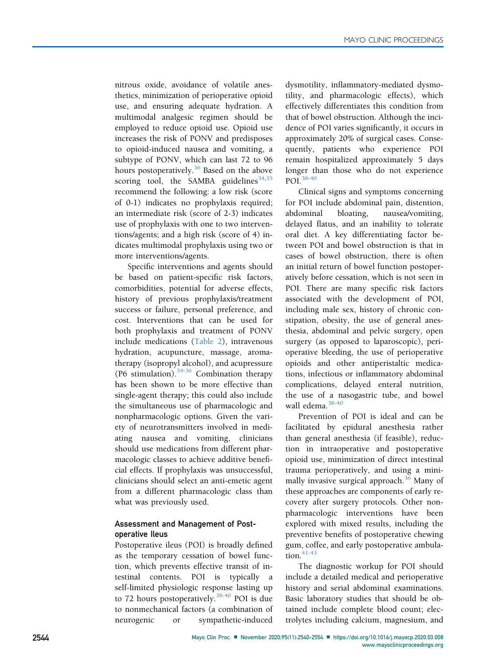nitrous oxide, avoidance of volatile anesthetics, minimization of perioperative opioid use, and ensuring adequate hydration. A multimodal analgesic regimen should be employed to reduce opioid use. Opioid use increases the risk of PONV and predisposes to opioid-induced nausea and vomiting, a subtype of PONV, which can last 72 to 96 hours postoperatively.<sup>[36](#page-12-8)</sup> Based on the above scoring tool, the SAMBA guidelines  $34,35$  $34,35$ recommend the following: a low risk (score of 0-1) indicates no prophylaxis required; an intermediate risk (score of 2-3) indicates use of prophylaxis with one to two interventions/agents; and a high risk (score of 4) indicates multimodal prophylaxis using two or more interventions/agents.

Specific interventions and agents should be based on patient-specific risk factors, comorbidities, potential for adverse effects, history of previous prophylaxis/treatment success or failure, personal preference, and cost. Interventions that can be used for both prophylaxis and treatment of PONV include medications [\(Table 2](#page-3-1)), intravenous hydration, acupuncture, massage, aromatherapy (isopropyl alcohol), and acupressure (P6 stimulation). $34-36$  Combination therapy has been shown to be more effective than single-agent therapy; this could also include the simultaneous use of pharmacologic and nonpharmacologic options. Given the variety of neurotransmitters involved in mediating nausea and vomiting, clinicians should use medications from different pharmacologic classes to achieve additive beneficial effects. If prophylaxis was unsuccessful, clinicians should select an anti-emetic agent from a different pharmacologic class than what was previously used.

## Assessment and Management of Postoperative Ileus

Postoperative ileus (POI) is broadly defined as the temporary cessation of bowel function, which prevents effective transit of intestinal contents. POI is typically a self-limited physiologic response lasting up to 72 hours postoperatively. $38-40$  POI is due to nonmechanical factors (a combination of neurogenic or sympathetic-induced

dysmotility, inflammatory-mediated dysmotility, and pharmacologic effects), which effectively differentiates this condition from that of bowel obstruction. Although the incidence of POI varies significantly, it occurs in approximately 20% of surgical cases. Consequently, patients who experience POI remain hospitalized approximately 5 days longer than those who do not experience POI.[38-40](#page-12-10)

Clinical signs and symptoms concerning for POI include abdominal pain, distention, abdominal bloating, nausea/vomiting, delayed flatus, and an inability to tolerate oral diet. A key differentiating factor between POI and bowel obstruction is that in cases of bowel obstruction, there is often an initial return of bowel function postoperatively before cessation, which is not seen in POI. There are many specific risk factors associated with the development of POI, including male sex, history of chronic constipation, obesity, the use of general anesthesia, abdominal and pelvic surgery, open surgery (as opposed to laparoscopic), perioperative bleeding, the use of perioperative opioids and other antiperistaltic medications, infectious or inflammatory abdominal complications, delayed enteral nutrition, the use of a nasogastric tube, and bowel wall edema.<sup>[38-40](#page-12-10)</sup>

Prevention of POI is ideal and can be facilitated by epidural anesthesia rather than general anesthesia (if feasible), reduction in intraoperative and postoperative opioid use, minimization of direct intestinal trauma perioperatively, and using a mini-mally invasive surgical approach.<sup>[36](#page-12-8)</sup> Many of these approaches are components of early recovery after surgery protocols. Other nonpharmacologic interventions have been explored with mixed results, including the preventive benefits of postoperative chewing gum, coffee, and early postoperative ambula- $tion.<sup>41-43</sup>$  $tion.<sup>41-43</sup>$  $tion.<sup>41-43</sup>$ 

The diagnostic workup for POI should include a detailed medical and perioperative history and serial abdominal examinations. Basic laboratory studies that should be obtained include complete blood count; electrolytes including calcium, magnesium, and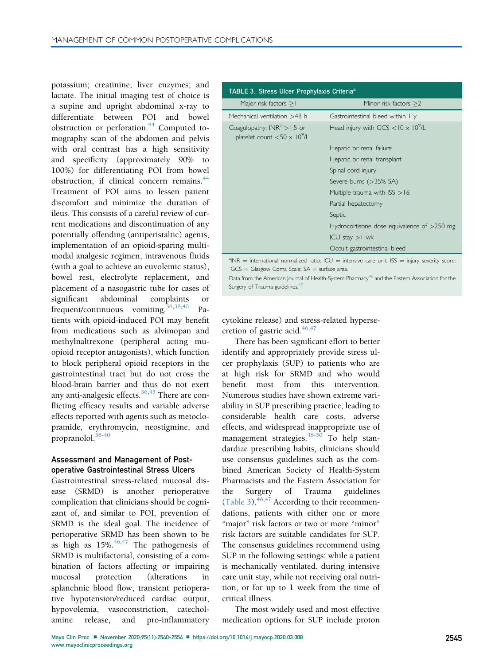potassium; creatinine; liver enzymes; and lactate. The initial imaging test of choice is a supine and upright abdominal x-ray to differentiate between POI and bowel obstruction or perforation.<sup>[44](#page-12-12)</sup> Computed tomography scan of the abdomen and pelvis with oral contrast has a high sensitivity and specificity (approximately 90% to 100%) for differentiating POI from bowel obstruction, if clinical concern remains.<sup>[44](#page-12-12)</sup> Treatment of POI aims to lessen patient discomfort and minimize the duration of ileus. This consists of a careful review of current medications and discontinuation of any potentially offending (antiperistaltic) agents, implementation of an opioid-sparing multimodal analgesic regimen, intravenous fluids (with a goal to achieve an euvolemic status), bowel rest, electrolyte replacement, and placement of a nasogastric tube for cases of significant abdominal complaints or frequent/continuous vomiting.[36,](#page-12-8)[38](#page-12-10)[,40](#page-12-13) Patients with opioid-induced POI may benefit from medications such as alvimopan and methylnaltrexone (peripheral acting muopioid receptor antagonists), which function to block peripheral opioid receptors in the gastrointestinal tract but do not cross the blood-brain barrier and thus do not exert any anti-analgesic effects.<sup>[36,](#page-12-8)[45](#page-12-14)</sup> There are conflicting efficacy results and variable adverse effects reported with agents such as metoclopramide, erythromycin, neostigmine, and propranolol.<sup>[38-40](#page-12-10)</sup>

## Assessment and Management of Postoperative Gastrointestinal Stress Ulcers

Gastrointestinal stress-related mucosal disease (SRMD) is another perioperative complication that clinicians should be cognizant of, and similar to POI, prevention of SRMD is the ideal goal. The incidence of perioperative SRMD has been shown to be as high as  $15\%$ .<sup>[46,](#page-12-15)[47](#page-12-16)</sup> The pathogenesis of SRMD is multifactorial, consisting of a combination of factors affecting or impairing mucosal protection (alterations in splanchnic blood flow, transient perioperative hypotension/reduced cardiac output, hypovolemia, vasoconstriction, catecholamine release, and pro-inflammatory

<span id="page-5-0"></span>

| TABLE 3. Stress Ulcer Prophylaxis Criteria <sup>a</sup>                            |                                                         |  |
|------------------------------------------------------------------------------------|---------------------------------------------------------|--|
| Major risk factors $>1$                                                            | Minor risk factors $>2$                                 |  |
| Mechanical ventilation >48 h                                                       | Gastrointestinal bleed within I y                       |  |
| Coagulopathy: $INRa > 1.5$ or<br>platelet count $<$ 50 $\times$ 10 <sup>9</sup> /L | Head injury with GCS $<$ 10 $\times$ 10 <sup>9</sup> /L |  |
|                                                                                    | Hepatic or renal failure                                |  |
|                                                                                    | Hepatic or renal transplant                             |  |
|                                                                                    | Spinal cord injury                                      |  |
|                                                                                    | Severe burns (>35% SA)                                  |  |
|                                                                                    | Multiple trauma with $ISS > 16$                         |  |
|                                                                                    | Partial hepatectomy                                     |  |
|                                                                                    | Septic                                                  |  |
|                                                                                    | Hydrocortisone dose equivalence of $>$ 250 mg           |  |
|                                                                                    | $ICU$ stay $>1$ wk                                      |  |
|                                                                                    | Occult gastrointestinal bleed                           |  |

<span id="page-5-1"></span> $A^2$ INR = international normalized ratio; ICU = intensive care unit; ISS = injury severity score;  $GCS =$  Glasgow Coma Scale;  $SA =$  surface area.

Data from the American Journal of Health-System Pharmacy<sup>[46](#page-12-15)</sup> and the Eastern Association for the Surgery of Trauma guidelines.<sup>[47](#page-12-16)</sup>

cytokine release) and stress-related hypersecretion of gastric acid. $46,47$  $46,47$ 

There has been significant effort to better identify and appropriately provide stress ulcer prophylaxis (SUP) to patients who are at high risk for SRMD and who would benefit most from this intervention. Numerous studies have shown extreme variability in SUP prescribing practice, leading to considerable health care costs, adverse effects, and widespread inappropriate use of management strategies.<sup>[48-50](#page-12-17)</sup> To help standardize prescribing habits, clinicians should use consensus guidelines such as the combined American Society of Health-System Pharmacists and the Eastern Association for the Surgery of Trauma guidelines [\(Table 3](#page-5-0)). $46,47$  $46,47$  According to their recommendations, patients with either one or more "major" risk factors or two or more "minor" risk factors are suitable candidates for SUP. The consensus guidelines recommend using SUP in the following settings: while a patient is mechanically ventilated, during intensive care unit stay, while not receiving oral nutrition, or for up to 1 week from the time of critical illness.

The most widely used and most effective medication options for SUP include proton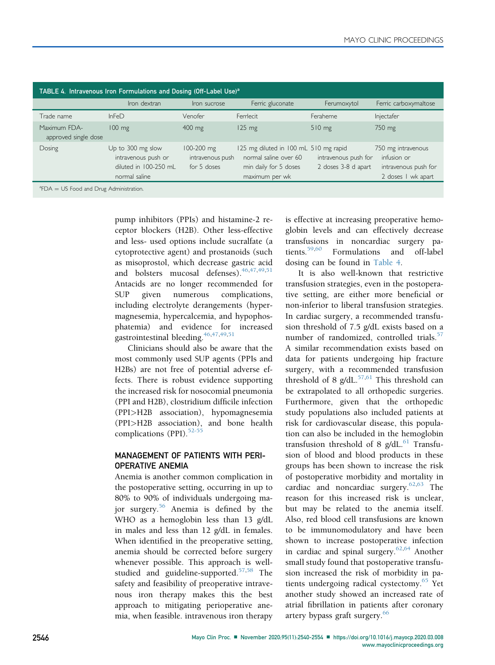<span id="page-6-0"></span>

| TABLE 4. Intravenous Iron Formulations and Dosing (Off-Label Use) <sup>a</sup> |                                                                                    |                                               |                                                                                                           |                                             |                                                                                 |
|--------------------------------------------------------------------------------|------------------------------------------------------------------------------------|-----------------------------------------------|-----------------------------------------------------------------------------------------------------------|---------------------------------------------|---------------------------------------------------------------------------------|
|                                                                                | Iron dextran                                                                       | Iron sucrose                                  | Ferric gluconate                                                                                          | Ferumoxytol                                 | Ferric carboxymaltose                                                           |
| Trade name                                                                     | InFe <sub>D</sub>                                                                  | Venofer                                       | Femlecit                                                                                                  | Feraheme                                    | Injectafer                                                                      |
| Maximum FDA-<br>approved single dose                                           | $100 \text{ mg}$                                                                   | 400 mg                                        | $125 \text{ mg}$                                                                                          | $510$ mg                                    | 750 mg                                                                          |
| Dosing                                                                         | Up to 300 mg slow<br>intravenous push or<br>diluted in 100-250 mL<br>normal saline | 100-200 mg<br>intravenous push<br>for 5 doses | 125 mg diluted in 100 mL 510 mg rapid<br>normal saline over 60<br>min daily for 5 doses<br>maximum per wk | intravenous push for<br>2 doses 3-8 d apart | 750 mg intravenous<br>infusion or<br>intravenous push for<br>2 doses I wk apart |
| $^{\circ}$ FDA = US Food and Drug Administration.                              |                                                                                    |                                               |                                                                                                           |                                             |                                                                                 |

<span id="page-6-1"></span>pump inhibitors (PPIs) and histamine-2 receptor blockers (H2B). Other less-effective and less- used options include sucralfate (a cytoprotective agent) and prostanoids (such as misoprostol, which decrease gastric acid and bolsters mucosal defenses).  $46,47,49,51$  $46,47,49,51$  $46,47,49,51$  $46,47,49,51$ Antacids are no longer recommended for SUP given numerous complications, including electrolyte derangements (hypermagnesemia, hypercalcemia, and hypophosphatemia) and evidence for increased gastrointestinal bleeding.  $46,47,49,51$  $46,47,49,51$  $46,47,49,51$  $46,47,49,51$ 

Clinicians should also be aware that the most commonly used SUP agents (PPIs and H2Bs) are not free of potential adverse effects. There is robust evidence supporting the increased risk for nosocomial pneumonia (PPI and H2B), clostridium difficile infection (PPI>H2B association), hypomagnesemia (PPI>H2B association), and bone health complications (PPI). $52-55$ 

## MANAGEMENT OF PATIENTS WITH PERI-OPERATIVE ANEMIA

Anemia is another common complication in the postoperative setting, occurring in up to 80% to 90% of individuals undergoing major surgery.[56](#page-12-21) Anemia is defined by the WHO as a hemoglobin less than 13 g/dL in males and less than 12 g/dL in females. When identified in the preoperative setting, anemia should be corrected before surgery whenever possible. This approach is well-studied and guideline-supported.<sup>[57](#page-12-22)[,58](#page-12-23)</sup> The safety and feasibility of preoperative intravenous iron therapy makes this the best approach to mitigating perioperative anemia, when feasible. intravenous iron therapy is effective at increasing preoperative hemoglobin levels and can effectively decrease transfusions in noncardiac surgery patients.[59](#page-12-24)[,60](#page-12-25) Formulations and off-label dosing can be found in [Table 4](#page-6-0).

It is also well-known that restrictive transfusion strategies, even in the postoperative setting, are either more beneficial or non-inferior to liberal transfusion strategies. In cardiac surgery, a recommended transfusion threshold of 7.5 g/dL exists based on a number of randomized, controlled trials. $57$ A similar recommendation exists based on data for patients undergoing hip fracture surgery, with a recommended transfusion threshold of 8  $g/dL$ .<sup>[57](#page-12-22)[,61](#page-12-26)</sup> This threshold can be extrapolated to all orthopedic surgeries. Furthermore, given that the orthopedic study populations also included patients at risk for cardiovascular disease, this population can also be included in the hemoglobin transfusion threshold of 8  $g/dL$ .<sup>[61](#page-12-26)</sup> Transfusion of blood and blood products in these groups has been shown to increase the risk of postoperative morbidity and mortality in cardiac and noncardiac surgery. $62,63$  $62,63$  The reason for this increased risk is unclear, but may be related to the anemia itself. Also, red blood cell transfusions are known to be immunomodulatory and have been shown to increase postoperative infection in cardiac and spinal surgery.<sup>[62](#page-12-27)[,64](#page-12-29)</sup> Another small study found that postoperative transfusion increased the risk of morbidity in pa-tients undergoing radical cystectomy.<sup>[65](#page-13-0)</sup> Yet another study showed an increased rate of atrial fibrillation in patients after coronary artery bypass graft surgery.<sup>[66](#page-13-1)</sup>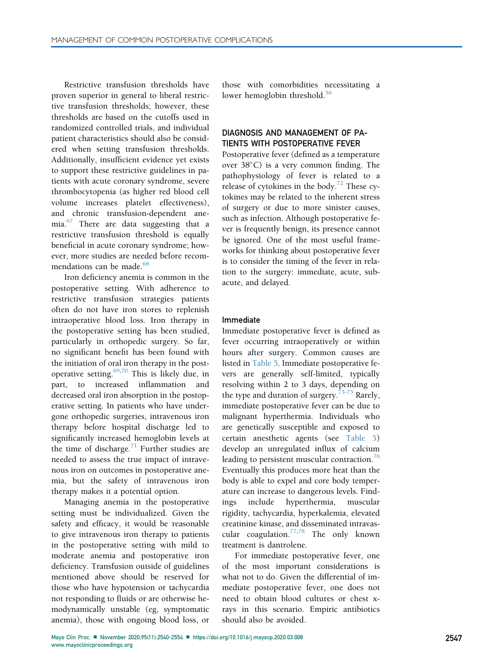Restrictive transfusion thresholds have proven superior in general to liberal restrictive transfusion thresholds; however, these thresholds are based on the cutoffs used in randomized controlled trials, and individual patient characteristics should also be considered when setting transfusion thresholds. Additionally, insufficient evidence yet exists to support these restrictive guidelines in patients with acute coronary syndrome, severe thrombocytopenia (as higher red blood cell volume increases platelet effectiveness), and chronic transfusion-dependent anemia.[67](#page-13-2) There are data suggesting that a restrictive transfusion threshold is equally beneficial in acute coronary syndrome; however, more studies are needed before recom-mendations can be made <sup>[68](#page-13-3)</sup>

Iron deficiency anemia is common in the postoperative setting. With adherence to restrictive transfusion strategies patients often do not have iron stores to replenish intraoperative blood loss. Iron therapy in the postoperative setting has been studied, particularly in orthopedic surgery. So far, no significant benefit has been found with the initiation of oral iron therapy in the postoperative setting. $69,70$  $69,70$  This is likely due, in part, to increased inflammation and decreased oral iron absorption in the postoperative setting. In patients who have undergone orthopedic surgeries, intravenous iron therapy before hospital discharge led to significantly increased hemoglobin levels at the time of discharge.<sup>[71](#page-13-6)</sup> Further studies are needed to assess the true impact of intravenous iron on outcomes in postoperative anemia, but the safety of intravenous iron therapy makes it a potential option.

Managing anemia in the postoperative setting must be individualized. Given the safety and efficacy, it would be reasonable to give intravenous iron therapy to patients in the postoperative setting with mild to moderate anemia and postoperative iron deficiency. Transfusion outside of guidelines mentioned above should be reserved for those who have hypotension or tachycardia not responding to fluids or are otherwise hemodynamically unstable (eg, symptomatic anemia), those with ongoing blood loss, or

those with comorbidities necessitating a lower hemoglobin threshold.<sup>[56](#page-12-21)</sup>

## DIAGNOSIS AND MANAGEMENT OF PA-TIENTS WITH POSTOPERATIVE FEVER

Postoperative fever (defined as a temperature over  $38^{\circ}$ C) is a very common finding. The pathophysiology of fever is related to a release of cytokines in the body.<sup>[72](#page-13-7)</sup> These cytokines may be related to the inherent stress of surgery or due to more sinister causes, such as infection. Although postoperative fever is frequently benign, its presence cannot be ignored. One of the most useful frameworks for thinking about postoperative fever is to consider the timing of the fever in relation to the surgery: immediate, acute, subacute, and delayed.

#### Immediate

Immediate postoperative fever is defined as fever occurring intraoperatively or within hours after surgery. Common causes are listed in [Table 5](#page-8-0). Immediate postoperative fevers are generally self-limited, typically resolving within 2 to 3 days, depending on the type and duration of surgery.<sup>[73-75](#page-13-8)</sup> Rarely, immediate postoperative fever can be due to malignant hyperthermia. Individuals who are genetically susceptible and exposed to certain anesthetic agents (see [Table 5](#page-8-0)) develop an unregulated influx of calcium leading to persistent muscular contraction. $^{76}$  $^{76}$  $^{76}$ Eventually this produces more heat than the body is able to expel and core body temperature can increase to dangerous levels. Findings include hyperthermia, muscular rigidity, tachycardia, hyperkalemia, elevated creatinine kinase, and disseminated intravas-cular coagulation.<sup>[77](#page-13-10)[,78](#page-13-11)</sup> The only known treatment is dantrolene.

For immediate postoperative fever, one of the most important considerations is what not to do. Given the differential of immediate postoperative fever, one does not need to obtain blood cultures or chest xrays in this scenario. Empiric antibiotics should also be avoided.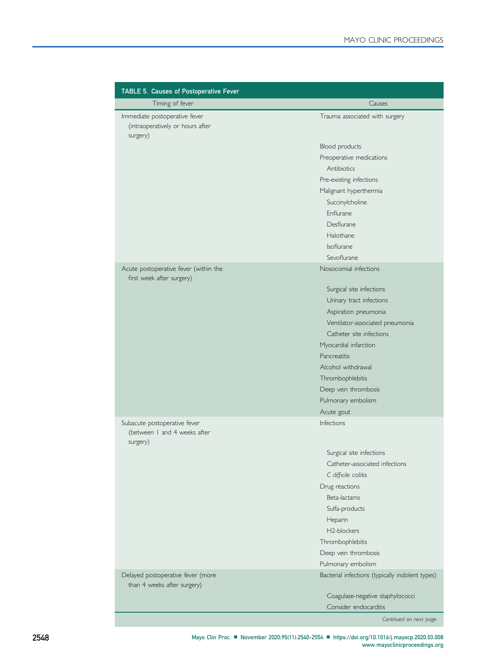<span id="page-8-0"></span>

| TABLE 5. Causes of Postoperative Fever                                        |                                                 |
|-------------------------------------------------------------------------------|-------------------------------------------------|
| Timing of fever                                                               | Causes                                          |
| Immediate postoperative fever<br>(intraoperatively or hours after<br>surgery) | Trauma associated with surgery                  |
|                                                                               | Blood products                                  |
|                                                                               | Preoperative medications                        |
|                                                                               | Antibiotics                                     |
|                                                                               | Pre-existing infections                         |
|                                                                               | Malignant hyperthermia                          |
|                                                                               | Succinylcholine                                 |
|                                                                               | Enflurane                                       |
|                                                                               | Desflurane                                      |
|                                                                               | Halothane                                       |
|                                                                               | Isoflurane                                      |
|                                                                               | Sevoflurane                                     |
| Acute postoperative fever (within the<br>first week after surgery)            | Nosocomial infections                           |
|                                                                               | Surgical site infections                        |
|                                                                               | Urinary tract infections                        |
|                                                                               | Aspiration pneumonia                            |
|                                                                               | Ventilator-associated pneumonia                 |
|                                                                               | Catheter site infections                        |
|                                                                               | Myocardial infarction                           |
|                                                                               | Pancreatitis                                    |
|                                                                               | Alcohol withdrawal                              |
|                                                                               | Thrombophlebitis                                |
|                                                                               | Deep vein thrombosis                            |
|                                                                               | Pulmonary embolism                              |
|                                                                               | Acute gout                                      |
| Subacute postoperative fever<br>(between I and 4 weeks after<br>surgery)      | <b>Infections</b>                               |
|                                                                               | Surgical site infections                        |
|                                                                               | Catheter-associated infections                  |
|                                                                               | C difficile colitis                             |
|                                                                               | Drug reactions                                  |
|                                                                               | Beta-lactams                                    |
|                                                                               | Sulfa-products                                  |
|                                                                               | Heparin                                         |
|                                                                               | H2-blockers                                     |
|                                                                               | Thrombophlebitis                                |
|                                                                               | Deep vein thrombosis                            |
|                                                                               | Pulmonary embolism                              |
| Delayed postoperative fever (more<br>than 4 weeks after surgery)              | Bacterial infections (typically indolent types) |
|                                                                               | Coagulase-negative staphylococci                |
|                                                                               | Consider endocarditis                           |

Continued on next page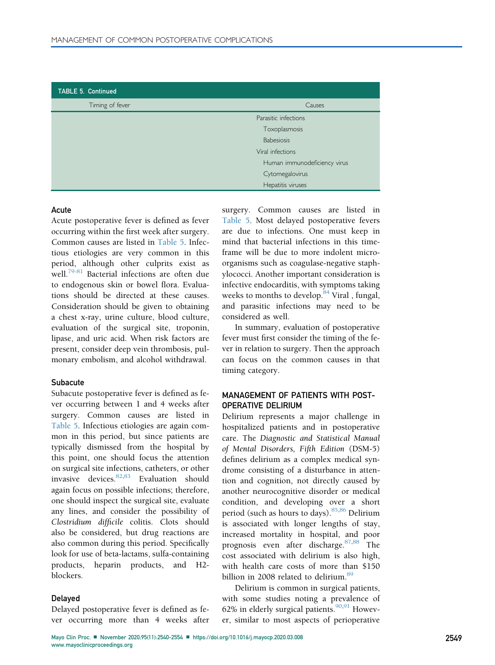| TABLE 5. Continued |                              |
|--------------------|------------------------------|
| Timing of fever    | Causes                       |
|                    | Parasitic infections         |
|                    | Toxoplasmosis                |
|                    | <b>Babesiosis</b>            |
|                    | Viral infections             |
|                    | Human immunodeficiency virus |
|                    | Cytomegalovirus              |
|                    | Hepatitis viruses            |

## Acute

Acute postoperative fever is defined as fever occurring within the first week after surgery. Common causes are listed in [Table 5](#page-8-0). Infectious etiologies are very common in this period, although other culprits exist as well.<sup>79-81</sup> Bacterial infections are often due to endogenous skin or bowel flora. Evaluations should be directed at these causes. Consideration should be given to obtaining a chest x-ray, urine culture, blood culture, evaluation of the surgical site, troponin, lipase, and uric acid. When risk factors are present, consider deep vein thrombosis, pulmonary embolism, and alcohol withdrawal.

#### **Subacute**

Subacute postoperative fever is defined as fever occurring between 1 and 4 weeks after surgery. Common causes are listed in [Table 5.](#page-8-0) Infectious etiologies are again common in this period, but since patients are typically dismissed from the hospital by this point, one should focus the attention on surgical site infections, catheters, or other invasive devices.<sup>[82,](#page-13-13)[83](#page-13-14)</sup> Evaluation should again focus on possible infections; therefore, one should inspect the surgical site, evaluate any lines, and consider the possibility of Clostridium difficile colitis. Clots should also be considered, but drug reactions are also common during this period. Specifically look for use of beta-lactams, sulfa-containing products, heparin products, and H2 blockers.

## Delayed

Delayed postoperative fever is defined as fever occurring more than 4 weeks after surgery. Common causes are listed in [Table 5.](#page-8-0) Most delayed postoperative fevers are due to infections. One must keep in mind that bacterial infections in this timeframe will be due to more indolent microorganisms such as coagulase-negative staphylococci. Another important consideration is infective endocarditis, with symptoms taking weeks to months to develop.<sup>[84](#page-13-15)</sup> Viral, fungal, and parasitic infections may need to be considered as well.

In summary, evaluation of postoperative fever must first consider the timing of the fever in relation to surgery. Then the approach can focus on the common causes in that timing category.

## MANAGEMENT OF PATIENTS WITH POST-OPERATIVE DELIRIUM

Delirium represents a major challenge in hospitalized patients and in postoperative care. The Diagnostic and Statistical Manual of Mental Disorders, Fifth Edition (DSM-5) defines delirium as a complex medical syndrome consisting of a disturbance in attention and cognition, not directly caused by another neurocognitive disorder or medical condition, and developing over a short period (such as hours to days).<sup>[85,](#page-13-16)[86](#page-13-17)</sup> Delirium is associated with longer lengths of stay, increased mortality in hospital, and poor prognosis even after discharge. [87,](#page-13-18)[88](#page-13-19) The cost associated with delirium is also high, with health care costs of more than \$150 billion in 2008 related to delirium.<sup>[89](#page-13-20)</sup>

Delirium is common in surgical patients, with some studies noting a prevalence of 62% in elderly surgical patients.<sup>[90](#page-13-21)[,91](#page-13-22)</sup> However, similar to most aspects of perioperative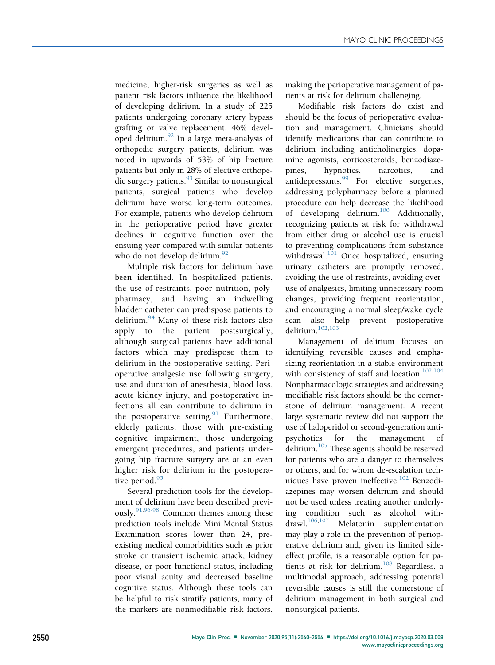medicine, higher-risk surgeries as well as patient risk factors influence the likelihood of developing delirium. In a study of 225 patients undergoing coronary artery bypass grafting or valve replacement, 46% developed delirium. $^{92}$  $^{92}$  $^{92}$  In a large meta-analysis of orthopedic surgery patients, delirium was noted in upwards of 53% of hip fracture patients but only in 28% of elective orthope-dic surgery patients.<sup>[93](#page-13-24)</sup> Similar to nonsurgical patients, surgical patients who develop delirium have worse long-term outcomes. For example, patients who develop delirium in the perioperative period have greater declines in cognitive function over the ensuing year compared with similar patients who do not develop delirium.<sup>[92](#page-13-23)</sup>

Multiple risk factors for delirium have been identified. In hospitalized patients, the use of restraints, poor nutrition, polypharmacy, and having an indwelling bladder catheter can predispose patients to delirium. $94$  Many of these risk factors also apply to the patient postsurgically, although surgical patients have additional factors which may predispose them to delirium in the postoperative setting. Perioperative analgesic use following surgery, use and duration of anesthesia, blood loss, acute kidney injury, and postoperative infections all can contribute to delirium in the postoperative setting. $91$  Furthermore, elderly patients, those with pre-existing cognitive impairment, those undergoing emergent procedures, and patients undergoing hip fracture surgery are at an even higher risk for delirium in the postoperative period. $95$ 

Several prediction tools for the development of delirium have been described previ-ously.<sup>[91,](#page-13-22)[96-98](#page-13-27)</sup> Common themes among these prediction tools include Mini Mental Status Examination scores lower than 24, preexisting medical comorbidities such as prior stroke or transient ischemic attack, kidney disease, or poor functional status, including poor visual acuity and decreased baseline cognitive status. Although these tools can be helpful to risk stratify patients, many of the markers are nonmodifiable risk factors, making the perioperative management of patients at risk for delirium challenging.

Modifiable risk factors do exist and should be the focus of perioperative evaluation and management. Clinicians should identify medications that can contribute to delirium including anticholinergics, dopamine agonists, corticosteroids, benzodiazepines, hypnotics, narcotics, and antidepressants.<sup>[99](#page-13-28)</sup> For elective surgeries, addressing polypharmacy before a planned procedure can help decrease the likelihood of developing delirium.<sup>[100](#page-13-29)</sup> Additionally, recognizing patients at risk for withdrawal from either drug or alcohol use is crucial to preventing complications from substance withdrawal.<sup>[101](#page-13-30)</sup> Once hospitalized, ensuring urinary catheters are promptly removed, avoiding the use of restraints, avoiding overuse of analgesics, limiting unnecessary room changes, providing frequent reorientation, and encouraging a normal sleep/wake cycle scan also help prevent postoperative delirium.[102](#page-13-31)[,103](#page-13-32)

Management of delirium focuses on identifying reversible causes and emphasizing reorientation in a stable environment with consistency of staff and location.<sup>[102,](#page-13-31)[104](#page-13-33)</sup> Nonpharmacologic strategies and addressing modifiable risk factors should be the cornerstone of delirium management. A recent large systematic review did not support the use of haloperidol or second-generation antipsychotics for the management of delirium. $105$  These agents should be reserved for patients who are a danger to themselves or others, and for whom de-escalation tech-niques have proven ineffective.<sup>[102](#page-13-31)</sup> Benzodiazepines may worsen delirium and should not be used unless treating another underlying condition such as alcohol with-<br>drawl.<sup>106,107</sup> Melatonin sunnlementation Melatonin supplementation may play a role in the prevention of perioperative delirium and, given its limited sideeffect profile, is a reasonable option for patients at risk for delirium. $108$  Regardless, a multimodal approach, addressing potential reversible causes is still the cornerstone of delirium management in both surgical and nonsurgical patients.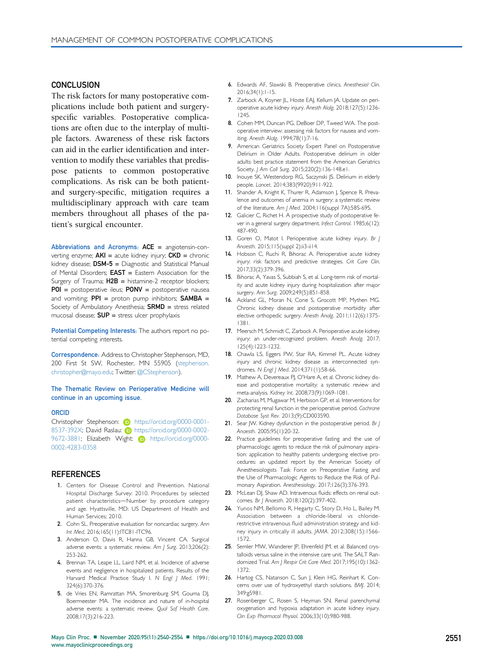# **CONCLUSION**

The risk factors for many postoperative complications include both patient and surgeryspecific variables. Postoperative complications are often due to the interplay of multiple factors. Awareness of these risk factors can aid in the earlier identification and intervention to modify these variables that predispose patients to common postoperative complications. As risk can be both patientand surgery-specific, mitigation requires a multidisciplinary approach with care team members throughout all phases of the patient's surgical encounter.

Abbreviations and Acronyms: ACE = angiotensin-converting enzyme;  $AKI =$  acute kidney injury;  $CKD =$  chronic kidney disease;  $DSM-5 =$  Diagnostic and Statistical Manual of Mental Disorders; EAST = Eastern Association for the Surgery of Trauma;  $H2B =$  histamine-2 receptor blockers;  $POI$  = postoperative ileus;  $PONV$  = postoperative nausea and vomiting;  $PPI =$  proton pump inhibitors;  $SAMBA =$ Society of Ambulatory Anesthesia;  $SRMD =$  stress related mucosal disease;  $SUP =$  stress ulcer prophylaxis

Potential Competing Interests: The authors report no potential competing interests.

Correspondence: Address to Christopher Stephenson, MD, 200 First St SW, Rochester, MN 55905 [\(stephenson.](mailto:stephenson.christopher@mayo.edu) [christopher@mayo.edu;](mailto:stephenson.christopher@mayo.edu) Twitter: [@CStephenson\)](https://www.twitter.com/CStephenson).

#### The Thematic Review on Perioperative Medicine will continue in an upcoming issue.

#### ORCID

Christopher Stephenson: (iD [https://orcid.org/0000-0001-](https://orcid.org/0000-0001-8537-392X) [8537-392X; David Raslau:](https://orcid.org/0000-0001-8537-392X) **[https://orcid.org/0000-0002-](https://orcid.org/0000-0002-9672-3881)** [9672-3881; Elizabeth Wight:](https://orcid.org/0000-0002-9672-3881) iD [https://orcid.org/0000-](https://orcid.org/0000-0002-4283-0358) [0002-4283-0358](https://orcid.org/0000-0002-4283-0358)

#### **REFERENCES**

- <span id="page-11-0"></span>1. Centers for Disease Control and Prevention. National Hospital Discharge Survey: 2010. Procedures by selected patient characteristics-Number by procedure category and age. Hyattsville, MD: US Department of Health and Human Services; 2010.
- <span id="page-11-1"></span>2. Cohn SL. Preoperative evaluation for noncardiac surgery. Ann Int Med. 2016;165(11):ITC81-ITC96.
- <span id="page-11-2"></span>3. Anderson O, Davis R, Hanna GB, Vincent CA. Surgical adverse events: a systematic review. Am J Surg. 2013;206(2): 253-262.
- <span id="page-11-3"></span>4. Brennan TA, Leape LL, Laird NM, et al. Incidence of adverse events and negligence in hospitalized patients. Results of the Harvard Medical Practice Study I. N Engl J Med. 1991; 324(6):370-376.
- <span id="page-11-4"></span>5. de Vries EN, Ramrattan MA, Smorenburg SM, Gouma DJ, Boermeester MA. The incidence and nature of in-hospital adverse events: a systematic review. Qual Saf Health Care. 2008;17(3):216-223.
- <span id="page-11-5"></span>6. Edwards AF, Slawski B. Preoperative clinics. Anesthesiol Clin. 2016;34(1):1-15.
- <span id="page-11-6"></span>7. Zarbock A, Koyner JL, Hoste EAJ, Kellum JA. Update on perioperative acute kidney injury. Anesth Alalg. 2018;127(5):1236- 1245.
- 8. Cohen MM, Duncan PG, DeBoer DP, Tweed WA. The postoperative interview: assessing risk factors for nausea and vomiting. Anesth Alalg. 1994;78(1):7-16.
- 9. American Geriatrics Society Expert Panel on Postoperative Delirium in Older Adults. Postoperative delirium in older adults: best practice statement from the American Geriatrics Society. J Am Coll Surg. 2015;220(2):136-148.e1.
- 10. Inouye SK, Westendorp RG, Saczynski JS. Delirium in elderly people. Lancet. 2014;383(9920):911-922.
- 11. Shander A, Knight K, Thurer R, Adamson J, Spence R. Prevalence and outcomes of anemia in surgery: a systematic review of the literature. Am J Med. 2004;116(suppl 7A):58S-69S.
- 12. Galicier C, Richet H. A prospective study of postoperative fever in a general surgery department. Infect Control. 1985;6(12): 487-490.
- <span id="page-11-7"></span>13. Goren O, Matot I. Perioperative acute kidney injury. Br J Anaesth. 2015;115(suppl 2):ii3-ii14.
- <span id="page-11-9"></span>14. Hobson C, Ruchi R, Bihorac A. Perioperative acute kidney injury: risk factors and predictive strategies. Crit Care Clin. 2017;33(2):379-396.
- <span id="page-11-10"></span>15. Bihorac A, Yavas S, Subbiah S, et al. Long-term risk of mortality and acute kidney injury during hospitalization after major surgery. Ann Surg. 2009;249(5):851-858.
- <span id="page-11-12"></span>16. Ackland GL, Moran N, Cone S, Grocott MP, Mythen MG. Chronic kidney disease and postoperative morbidity after elective orthopedic surgery. Anesth Analg. 2011;112(6):1375- 1381.
- <span id="page-11-8"></span>17. Meersch M, Schmidt C, Zarbock A. Perioperative acute kidney injury: an under-recognized problem. Anesth Analg. 2017; 125(4):1223-1232.
- <span id="page-11-11"></span>18. Chawla LS, Eggers PW, Star RA, Kimmel PL. Acute kidney injury and chronic kidney disease as interconnected syndromes. N Engl J Med. 2014;371(1):58-66.
- <span id="page-11-13"></span>19. Mathew A, Devereaux PJ, O'Hare A, et al. Chronic kidney disease and postoperative mortality: a systematic review and meta-analysis. Kidney Int. 2008;73(9):1069-1081.
- <span id="page-11-14"></span>20. Zacharias M, Mugawar M, Herbison GP, et al. Interventions for protecting renal function in the perioperative period. Cochrane Database Syst Rev. 2013;(9):CD003590.
- <span id="page-11-15"></span>21. Sear JW. Kidney dysfunction in the postoperative period. Br J Anaesth. 2005;95(1):20-32.
- <span id="page-11-16"></span>22. Practice guidelines for preoperative fasting and the use of pharmacologic agents to reduce the risk of pulmonary aspiration: application to healthy patients undergoing elective procedures: an updated report by the American Society of Anesthesiologists Task Force on Preoperative Fasting and the Use of Pharmacologic Agents to Reduce the Risk of Pulmonary Aspiration. Anesthesiology. 2017;126(3):376-393.
- <span id="page-11-17"></span>23. McLean DJ, Shaw AD. Intravenous fluids: effects on renal outcomes. Br J Anaesth. 2018;120(2):397-402.
- 24. Yunos NM, Bellomo R, Hegarty C, Story D, Ho L, Bailey M. Association between a chloride-liberal vs chloriderestrictive intravenous fluid administration strategy and kidney injury in critically ill adults. JAMA. 2012;308(15):1566- 1572.
- 25. Semler MW, Wanderer JP, Ehrenfeld JM, et al. Balanced crystalloids versus saline in the intensive care unit. The SALT Randomized Trial. Am J Respir Crit Care Med. 2017;195(10):1362- 1372.
- <span id="page-11-18"></span>26. Hartog CS, Natanson C, Sun J, Klein HG, Reinhart K. Concerns over use of hydroxyethyl starch solutions. BMJ. 2014; 349:g5981.
- <span id="page-11-19"></span>27. Rosenberger C, Rosen S, Heyman SN. Renal parenchymal oxygenation and hypoxia adaptation in acute kidney injury. Clin Exp Pharmacol Physiol. 2006;33(10):980-988.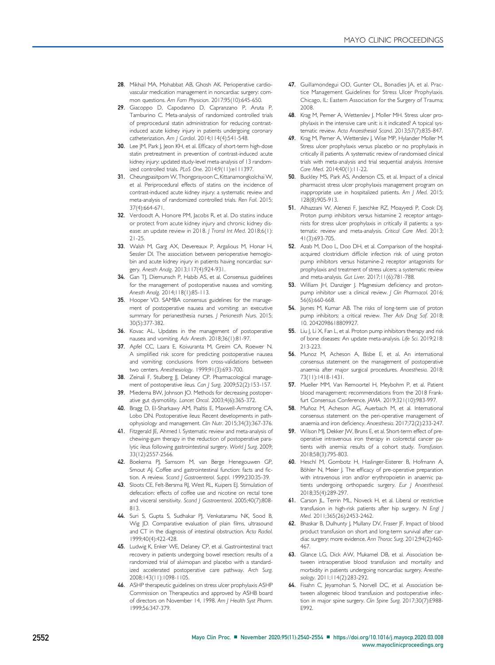- <span id="page-12-0"></span>28. Mikhail MA, Mohabbat AB, Ghosh AK. Perioperative cardiovascular medication management in noncardiac surgery: common questions. Am Fam Physician. 2017;95(10):645-650.
- <span id="page-12-1"></span>29. Giacoppo D, Capodanno D, Capranzano P, Aruta P, Tamburino C. Meta-analysis of randomized controlled trials of preprocedural statin administration for reducing contrastinduced acute kidney injury in patients undergoing coronary catheterization. Am J Cardiol. 2014;114(4):541-548.
- <span id="page-12-2"></span>30. Lee JM, Park J, Jeon KH, et al. Efficacy of short-term high-dose statin pretreatment in prevention of contrast-induced acute kidney injury: updated study-level meta-analysis of 13 randomized controlled trials. PLoS One. 2014;9(11):e111397.
- <span id="page-12-3"></span>31. Cheungpasitporn W, Thongprayoon C, Kittanamongkolchai W, et al. Periprocedural effects of statins on the incidence of contrast-induced acute kidney injury: a systematic review and meta-analysis of randomized controlled trials. Ren Fail. 2015; 37(4):664-671.
- <span id="page-12-4"></span>32. Verdoodt A, Honore PM, Jacobs R, et al. Do statins induce or protect from acute kidney injury and chronic kidney disease: an update review in 2018. | Transl Int Med. 2018;6(1): 21-25.
- <span id="page-12-5"></span>33. Walsh M, Garg AX, Devereaux P, Argalious M, Honar H, Sessler DI. The association between perioperative hemoglobin and acute kidney injury in patients having noncardiac surgery. Anesth Analg. 2013;117(4):924-931.
- <span id="page-12-6"></span>34. Gan TJ, Diemunsch P, Habib AS, et al. Consensus guidelines for the management of postoperative nausea and vomiting. Anesth Analg. 2014;118(1):85-113.
- <span id="page-12-7"></span>35. Hooper VD. SAMBA consensus guidelines for the management of postoperative nausea and vomiting: an executive summary for perianesthesia nurses. J Perianesth Nurs. 2015; 30(5):377-382.
- <span id="page-12-8"></span>36. Kovac AL. Updates in the management of postoperative nausea and vomiting. Adv Anesth. 2018;36(1):81-97.
- <span id="page-12-9"></span>37. Apfel CC, Laara E, Koivuranta M, Greim CA, Roewer N. A simplified risk score for predicting postoperative nausea and vomiting: conclusions from cross-validations between two centers. Anesthesiology. 1999;91(3):693-700.
- <span id="page-12-10"></span>38. Zeinali F, Stulberg JJ, Delaney CP. Pharmacological management of postoperative ileus. Can J Surg. 2009;52(2):153-157.
- 39. Miedema BW, Johnson JO. Methods for decreasing postoperative gut dysmotility. Lancet Oncol. 2003;4(6):365-372.
- <span id="page-12-13"></span>40. Bragg D, El-Sharkawy AM, Psaltis E, Maxwell-Armstrong CA, Lobo DN. Postoperative ileus: Recent developments in pathophysiology and management. Clin Nutr. 2015;34(3):367-376.
- <span id="page-12-11"></span>41. Fitzgerald JE, Ahmed I. Systematic review and meta-analysis of chewing-gum therapy in the reduction of postoperative paralytic ileus following gastrointestinal surgery. World J Surg. 2009; 33(12):2557-2566.
- 42. Boekema PJ, Samsom M, van Berge Henegouwen GP, Smout AJ. Coffee and gastrointestinal function: facts and fiction. A review. Scand J Gastroenterol. Suppl. 1999;230:35-39.
- 43. Sloots CE, Felt-Bersma RJ, West RL, Kuipers EJ. Stimulation of defecation: effects of coffee use and nicotine on rectal tone and visceral sensitivity. Scand | Gastroenterol. 2005;40(7):808-813.
- <span id="page-12-12"></span>44. Suri S, Gupta S, Sudhakar PJ, Venkataramu NK, Sood B, Wig JD. Comparative evaluation of plain films, ultrasound and CT in the diagnosis of intestinal obstruction. Acta Radiol. 1999;40(4):422-428.
- <span id="page-12-14"></span>45. Ludwig K, Enker WE, Delaney CP, et al. Gastrointestinal tract recovery in patients undergoing bowel resection: results of a randomized trial of alvimopan and placebo with a standardized accelerated postoperative care pathway. Arch Surg. 2008;143(11):1098-1105.
- <span id="page-12-15"></span>46. ASHP therapeutic guidelines on stress ulcer prophylaxis ASHP Commission on Therapeutics and approved by ASHB board of directors on November 14, 1998. Am J Health Syst Pharm. 1999;56:347-379.
- <span id="page-12-16"></span>47. Guillamondegui OD, Gunter OL, Bonadies JA, et al. Practice Management Guidelines for Stress Ulcer Prophylaxis. Chicago, IL: Eastern Association for the Surgery of Trauma; 2008.
- <span id="page-12-17"></span>48. Krag M, Perner A, Wetterslev J, Moller MH. Stress ulcer prophylaxis in the intensive care unit: is it indicated? A topical systematic review. Acta Anaesthesiol Scand. 2013;57(7):835-847.
- <span id="page-12-18"></span>49. Krag M, Perner A, Wetterslev J, Wise MP, Hylander Moller M. Stress ulcer prophylaxis versus placebo or no prophylaxis in critically ill patients. A systematic review of randomised clinical trials with meta-analysis and trial sequential analysis. Intensive Care Med. 2014;40(1):11-22.
- 50. Buckley MS, Park AS, Anderson CS, et al. Impact of a clinical pharmacist stress ulcer prophylaxis management program on inappropriate use in hospitalized patients. Am J Med. 2015; 128(8):905-913.
- <span id="page-12-19"></span>51. Alhazzani W, Alenezi F, Jaeschke RZ, Moayyedi P, Cook DJ. Proton pump inhibitors versus histamine 2 receptor antagonists for stress ulcer prophylaxis in critically ill patients: a systematic review and meta-analysis. Critical Care Med. 2013; 41(3):693-705.
- <span id="page-12-20"></span>52. Azab M, Doo L, Doo DH, et al. Comparison of the hospitalacquired clostridium difficile infection risk of using proton pump inhibitors versus histamine-2 receptor antagonists for prophylaxis and treatment of stress ulcers: a systematic review and meta-analysis. Gut Liver. 2017;11(6):781-788.
- 53. William JH, Danziger J. Magnesium deficiency and protonpump inhibitor use: a clinical review. J Clin Pharmacol. 2016; 56(6):660-668.
- 54. Jaynes M, Kumar AB. The risks of long-term use of proton pump inhibitors: a critical review. Ther Adv Drug Saf. 2018; 10. 2042098618809927.
- 55. Liu J, Li X, Fan L, et al. Proton pump inhibitors therapy and risk of bone diseases: An update meta-analysis. Life Sci. 2019;218: 213-223.
- <span id="page-12-21"></span>56. Munoz M, Acheson A, Bisbe E, et al. An international consensus statement on the management of postoperative anaemia after major surgical procedures. Anaesthesia. 2018; 73(11):1418-1431.
- <span id="page-12-22"></span>57. Mueller MM, Van Remoortel H, Meybohm P, et al. Patient blood management: recommendations from the 2018 Frankfurt Consensus Conference. JAMA. 2019;321(10):983-997.
- <span id="page-12-23"></span>58. Muñoz M, Acheson AG, Auerbach M, et al. International consensus statement on the peri-operative management of anaemia and iron deficiency. Anaesthesia. 2017;72(2):233-247.
- <span id="page-12-24"></span>59. Wilson MJ, Dekker JW, Bruns E, et al. Short-term effect of preoperative intravenous iron therapy in colorectal cancer patients with anemia: results of a cohort study. Transfusion. 2018;58(3):795-803.
- <span id="page-12-25"></span>60. Heschl M, Gombotz H, Haslinger-Eisterer B, Hofmann A, Böhler N, Meier J. The efficacy of pre-operative preparation with intravenous iron and/or erythropoietin in anaemic patients undergoing orthopaedic surgery. Eur J Anaesthesiol. 2018;35(4):289-297.
- <span id="page-12-26"></span>61. Carson JL, Terrin ML, Noveck H, et al. Liberal or restrictive transfusion in high-risk patients after hip surgery. N Engl J Med. 2011;365(26):2453-2462.
- <span id="page-12-27"></span>62. Bhaskar B, Dulhunty J, Mullany DV, Fraser JF. Impact of blood product transfusion on short and long-term survival after cardiac surgery: more evidence. Ann Thorac Surg. 2012;94(2):460- 467.
- <span id="page-12-28"></span>63. Glance LG, Dick AW, Mukamel DB, et al. Association between intraoperative blood transfusion and mortality and morbidity in patients undergoing noncardiac surgery. Anesthesiology. 2011;114(2):283-292.
- <span id="page-12-29"></span>64. Fisahn C, Jeyamohan S, Norvell DC, et al. Association between allogeneic blood transfusion and postoperative infection in major spine surgery. Clin Spine Surg. 2017;30(7):E988- E992.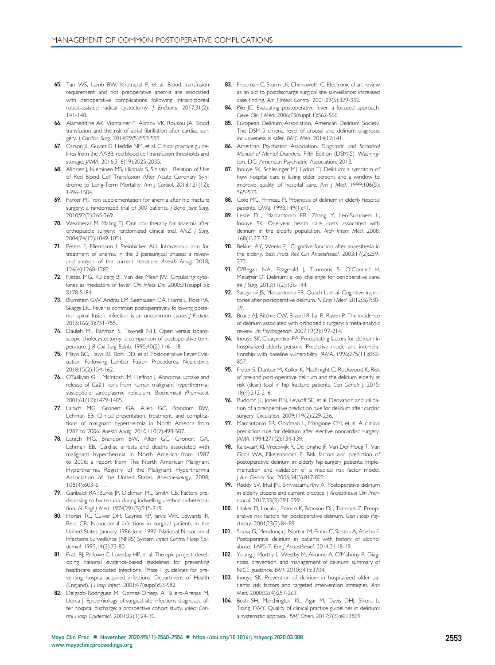- <span id="page-13-0"></span>65. Tan WS, Lamb BW, Khetrapal P, et al. Blood transfusion requirement and not preoperative anemia are associated with perioperative complications following intracorporeal robot-assisted radical cystectomy. J Endourol. 2017;31(2): 141-148.
- <span id="page-13-1"></span>66. Alameddine AK, Visintainer P, Alimov VK, Rousou JA. Blood transfusion and the risk of atrial fibrillation after cardiac surgery. J Cardiac Surg. 2014;29(5):593-599.
- <span id="page-13-2"></span>67. Carson JL, Guyatt G, Heddle NM, et al. Clinical practice guidelines from the AABB: red blood cell transfusion thresholds and storage. JAMA. 2016;316(19):2025-2035.
- <span id="page-13-3"></span>68. Allonen J, Nieminen MS, Hiippala S, Sinisalo J. Relation of Use of Red Blood Cell Transfusion After Acute Coronary Syndrome to Long-Term Mortality. Am J Cardiol. 2018;121(12): 1496-1504.
- <span id="page-13-4"></span>69. Parker MJ. Iron supplementation for anemia after hip fracture surgery: a randomized trial of 300 patients. J Bone Joint Surg. 2010;92(2):265-269.
- <span id="page-13-5"></span>70. Weatherall M, Maling TJ. Oral iron therapy for anaemia after orthopaedic surgery: randomized clinical trial. ANZ | Surg. 2004;74(12):1049-1051.
- <span id="page-13-6"></span>71. Peters F, Ellermann I, Steinbicker AU. Intravenous iron for treatment of anemia in the 3 perisurgical phases: a review and analysis of the current literature. Anesth Analg. 2018; 126(4):1268-1282.
- <span id="page-13-7"></span>72. Netea MG, Kullberg BJ, Van der Meer JW. Circulating cytokines as mediators of fever. Clin Infect Dis. 2000;31 (suppl 5): S178-S184.
- <span id="page-13-8"></span>73. Blumstein GW, Andras LM, Seehausen DA, Harris L, Ross PA, Skaggs DL. Fever is common postoperatively following posterior spinal fusion: infection is an uncommon cause. J Pediatr. 2015;166(3):751-755.
- 74. Dauleh MI, Rahman S, Townell NH. Open versus laparoscopic cholecystectomy: a comparison of postoperative temperature. J R Coll Surg Edinb. 1995;40(2):116-118.
- 75. Mayo BC, Haws BE, Bohl DD, et al. Postoperative Fever Evaluation Following Lumbar Fusion Procedures. Neurospine. 2018;15(2):154-162.
- <span id="page-13-9"></span>76. O'Sullivan GH, McIntosh JM, Heffron J. Abnormal uptake and release of Ca2+ ions from human malignant hyperthermiasusceptible sarcoplasmic reticulum. Biochemical Pharmacol. 2001;61(12):1479-1485.
- <span id="page-13-10"></span>77. Larach MG, Gronert GA, Allen GC, Brandom BW, Lehman EB. Clinical presentation, treatment, and complications of malignant hyperthermia in North America from 1987 to 2006. Anesth Analg. 2010;110(2):498-507.
- <span id="page-13-11"></span>78. Larach MG, Brandom BW, Allen GC, Gronert GA, Lehman EB. Cardiac arrests and deaths associated with malignant hyperthermia in North America from 1987 to 2006: a report from The North American Malignant Hyperthermia Registry of the Malignant Hyperthermia Association of the United States. Anesthesiology. 2008; 108(4):603-611.
- <span id="page-13-12"></span>79. Garibaldi RA, Burke JP, Dickman ML, Smith CB. Factors predisposing to bacteriuria during indwelling urethral catheterization. N Engl | Med. 1974;291(5):215-219.
- 80. Horan TC, Culver DH, Gaynes RP, Jarvis WR, Edwards JR, Reid CR. Nosocomial infections in surgical patients in the United States, January 1986-June 1992. National Nosocomial Infections Surveillance (NNIS) System. Infect Control Hosp Epidemiol. 1993;14(2):73-80.
- 81. Pratt RJ, Pellowe C, Loveday HP, et al. The epic project: developing national evidence-based guidelines for preventing healthcare associated infections. Phase I: guidelines for preventing hospital-acquired infections. Department of Health (England). J Hosp Infect. 2001;47(suppl):S3-S82.
- <span id="page-13-13"></span>82. Delgado-Rodriguez M, Gomez-Ortega A, Sillero-Arenas M, Llorca J. Epidemiology of surgical-site infections diagnosed after hospital discharge: a prospective cohort study. Infect Control Hosp Epidemiol. 2001;22(1):24-30.
- <span id="page-13-14"></span>83. Friedman C, Sturm LK, Chenoweth C. Electronic chart review as an aid to postdischarge surgical site surveillance: increased case finding. Am J Infect Control. 2001;29(5):329-332.
- <span id="page-13-15"></span>84. Pile JC. Evaluating postoperative fever: a focused approach. Cleve Clin J Med. 2006;73(suppl 1):S62-S66.
- <span id="page-13-16"></span>85. European Delirium Association, American Delirium Society. The DSM-5 criteria, level of arousal and delirium diagnosis: inclusiveness is safer. BMC Med. 2014;12:141.
- <span id="page-13-17"></span>86. American Psychiatric Association. Diagnostic and Statistical Manual of Mental Disorders. Fifth Edition (DSM-5). Washington, DC: American Psychiatric Association; 2013.
- <span id="page-13-18"></span>87. Inouye SK, Schlesinger MJ, Lydon TJ. Delirium: a symptom of how hospital care is failing older persons and a window to improve quality of hospital care. Am J Med. 1999;106(5): 565-573.
- <span id="page-13-19"></span>88. Cole MG, Primeau FJ. Prognosis of delirium in elderly hospital patients. CMAJ. 1993;149(1):41.
- <span id="page-13-20"></span>89. Leslie DL, Marcantonio ER, Zhang Y, Leo-Summers L, Inouye SK. One-year health care costs associated with delirium in the elderly population. Arch Intern Med. 2008; 168(1):27-32.
- <span id="page-13-21"></span>90. Bekker AY, Weeks EJ. Cognitive function after anaesthesia in the elderly. Best Pract Res Clin Anaesthesiol. 2003;17(2):259- 272.
- <span id="page-13-22"></span>91. O'Regan NA, Fitzgerald J, Timmons S, O'Connell H, Meagher D. Delirium: a key challenge for perioperative care. Int J Surg. 2013;11(2):136-144.
- <span id="page-13-23"></span>92. Saczynski JS, Marcantonio ER, Quach L, et al. Cognitive trajectories after postoperative delirium. N Engl J Med. 2012;367:30- 39.
- <span id="page-13-24"></span>93. Bruce AJ, Ritchie CW, Blizard R, Lai R, Raven P. The incidence of delirium associated with orthopedic surgery: a meta-analytic review. Int Psychogeriatr. 2007;19(2):197-214.
- <span id="page-13-25"></span>94. Inouye SK, Charpentier PA. Precipitating factors for delirium in hospitalized elderly persons. Predictive model and interrelationship with baseline vulnerability. JAMA. 1996;275(11):852- 857.
- <span id="page-13-26"></span>95. Freter S, Dunbar M, Koller K, MacKnight C, Rockwood K. Risk of pre-and post-operative delirium and the delirium elderly at risk (dear) tool in hip fracture patients. Can Geriatr J. 2015; 18(4):212-216.
- <span id="page-13-27"></span>96. Rudolph JL, Jones RN, Levkoff SE, et al. Derivation and validation of a preoperative prediction rule for delirium after cardiac surgery. Circulation. 2009;119(2):229-236.
- 97. Marcantonio ER, Goldman L, Mangione CM, et al. A clinical prediction rule for delirium after elective noncardiac surgery. JAMA. 1994;271(2):134-139.
- 98. Kalisvaart KJ, Vreeswijk R, De Jonghe JF, Van Der Ploeg T, Van Gool WA, Eikelenboom P. Risk factors and prediction of postoperative delirium in elderly hip-surgery patients: Implementation and validation of a medical risk factor model. J Am Geriatr Soc. 2006;54(5):817-822.
- <span id="page-13-28"></span>99. Reddy SV, Irkal JN, Srinivasamurthy A. Postoperative delirium in elderly citizens and current practice. J Anaesthesiol Clin Pharmacol. 2017;33(3):291-299.
- <span id="page-13-29"></span>100. Litaker D, Locala J, Franco K, Bronson DL, Tannous Z. Preoperative risk factors for postoperative delirium. Gen Hosp Psychiatry. 2001;23(2):84-89.
- <span id="page-13-30"></span>101. Sousa G, Mendonça J, Norton M, Pinho C, Santos A, Abelha F. Postoperative delirium in patients with history of alcohol abuse: 1AP5-7. Eur J Anaesthesiol. 2014;31:18-19.
- <span id="page-13-31"></span>102. Young J, Murthy L, Westby M, Akunne A, O'Mahony R. Diagnosis, prevention, and management of delirium: summary of NICE guidance. BMJ. 2010;341:c3704.
- <span id="page-13-32"></span>103. Inouye SK. Prevention of delirium in hospitalized older patients: risk factors and targeted intervention strategies. Ann Med. 2000;32(4):257-263.
- <span id="page-13-33"></span>104. Bush SH, Marchington KL, Agar M, Davis DHJ, Sikora L, Tsang TWY. Quality of clinical practice guidelines in delirium: a systematic appraisal. BMJ Open. 2017;7(3):e013809.